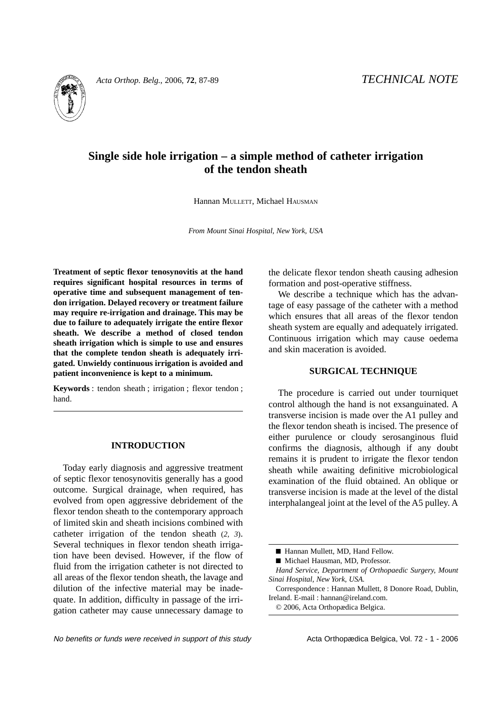

*Acta Orthop. Belg.*, 2006, **72**, 87-89 *TECHNICAL NOTE*

# **Single side hole irrigation – a simple method of catheter irrigation of the tendon sheath**

Hannan MULLETT, Michael HAUSMAN

*From Mount Sinai Hospital, New York, USA*

**Treatment of septic flexor tenosynovitis at the hand requires significant hospital resources in terms of operative time and subsequent management of tendon irrigation. Delayed recovery or treatment failure may require re-irrigation and drainage. This may be due to failure to adequately irrigate the entire flexor sheath. We describe a method of closed tendon sheath irrigation which is simple to use and ensures that the complete tendon sheath is adequately irrigated. Unwieldy continuous irrigation is avoided and patient inconvenience is kept to a minimum.**

**Keywords** : tendon sheath ; irrigation ; flexor tendon ; hand.

## **INTRODUCTION**

Today early diagnosis and aggressive treatment of septic flexor tenosynovitis generally has a good outcome. Surgical drainage, when required, has evolved from open aggressive debridement of the flexor tendon sheath to the contemporary approach of limited skin and sheath incisions combined with catheter irrigation of the tendon sheath (*2, 3*). Several techniques in flexor tendon sheath irrigation have been devised. However, if the flow of fluid from the irrigation catheter is not directed to all areas of the flexor tendon sheath, the lavage and dilution of the infective material may be inadequate. In addition, difficulty in passage of the irrigation catheter may cause unnecessary damage to the delicate flexor tendon sheath causing adhesion formation and post-operative stiffness.

We describe a technique which has the advantage of easy passage of the catheter with a method which ensures that all areas of the flexor tendon sheath system are equally and adequately irrigated. Continuous irrigation which may cause oedema and skin maceration is avoided.

#### **SURGICAL TECHNIQUE**

The procedure is carried out under tourniquet control although the hand is not exsanguinated. A transverse incision is made over the A1 pulley and the flexor tendon sheath is incised. The presence of either purulence or cloudy serosanginous fluid confirms the diagnosis, although if any doubt remains it is prudent to irrigate the flexor tendon sheath while awaiting definitive microbiological examination of the fluid obtained. An oblique or transverse incision is made at the level of the distal interphalangeal joint at the level of the A5 pulley. A

<sup>■</sup> Hannan Mullett, MD, Hand Fellow.

<sup>■</sup> Michael Hausman, MD, Professor.

*Hand Service, Department of Orthopaedic Surgery, Mount Sinai Hospital, New York, USA.*

Correspondence : Hannan Mullett, 8 Donore Road, Dublin, Ireland. E-mail : hannan@ireland.com.

<sup>© 2006,</sup> Acta Orthopædica Belgica.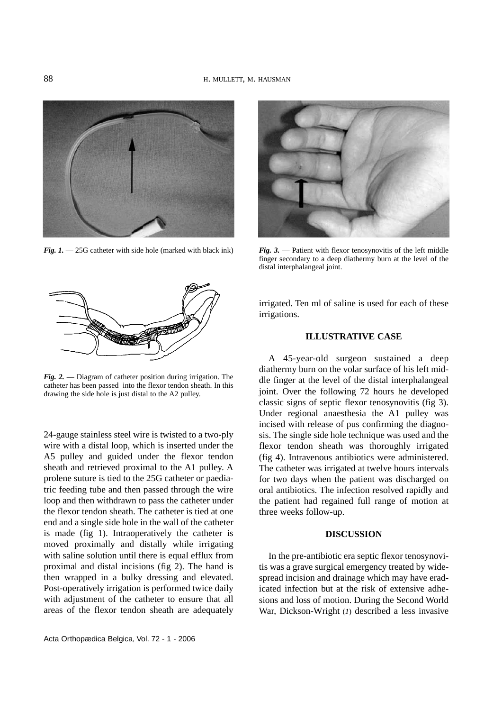



*Fig. 1.* — 25G catheter with side hole (marked with black ink) *Fig. 3.* — Patient with flexor tenosynovitis of the left middle finger secondary to a deep diathermy burn at the level of the distal interphalangeal joint.



*Fig. 2.* — Diagram of catheter position during irrigation. The catheter has been passed into the flexor tendon sheath. In this drawing the side hole is just distal to the A2 pulley.

24-gauge stainless steel wire is twisted to a two-ply wire with a distal loop, which is inserted under the A5 pulley and guided under the flexor tendon sheath and retrieved proximal to the A1 pulley. A prolene suture is tied to the 25G catheter or paediatric feeding tube and then passed through the wire loop and then withdrawn to pass the catheter under the flexor tendon sheath. The catheter is tied at one end and a single side hole in the wall of the catheter is made (fig 1). Intraoperatively the catheter is moved proximally and distally while irrigating with saline solution until there is equal efflux from proximal and distal incisions (fig 2). The hand is then wrapped in a bulky dressing and elevated. Post-operatively irrigation is performed twice daily with adjustment of the catheter to ensure that all areas of the flexor tendon sheath are adequately irrigated. Ten ml of saline is used for each of these irrigations.

### **ILLUSTRATIVE CASE**

A 45-year-old surgeon sustained a deep diathermy burn on the volar surface of his left middle finger at the level of the distal interphalangeal joint. Over the following 72 hours he developed classic signs of septic flexor tenosynovitis (fig 3). Under regional anaesthesia the A1 pulley was incised with release of pus confirming the diagnosis. The single side hole technique was used and the flexor tendon sheath was thoroughly irrigated (fig 4). Intravenous antibiotics were administered. The catheter was irrigated at twelve hours intervals for two days when the patient was discharged on oral antibiotics. The infection resolved rapidly and the patient had regained full range of motion at three weeks follow-up.

### **DISCUSSION**

In the pre-antibiotic era septic flexor tenosynovitis was a grave surgical emergency treated by widespread incision and drainage which may have eradicated infection but at the risk of extensive adhesions and loss of motion. During the Second World War, Dickson-Wright (*1*) described a less invasive